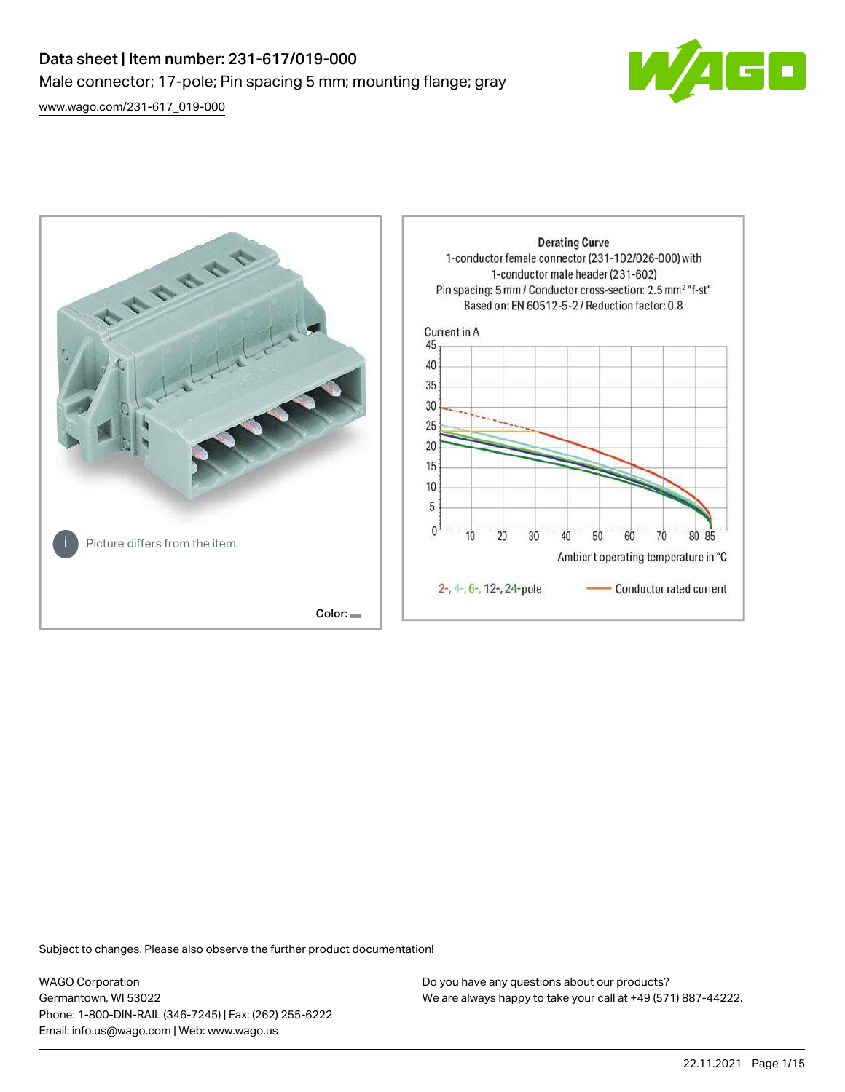# Data sheet | Item number: 231-617/019-000 Male connector; 17-pole; Pin spacing 5 mm; mounting flange; gray

[www.wago.com/231-617\\_019-000](http://www.wago.com/231-617_019-000)





Subject to changes. Please also observe the further product documentation!

WAGO Corporation Germantown, WI 53022 Phone: 1-800-DIN-RAIL (346-7245) | Fax: (262) 255-6222 Email: info.us@wago.com | Web: www.wago.us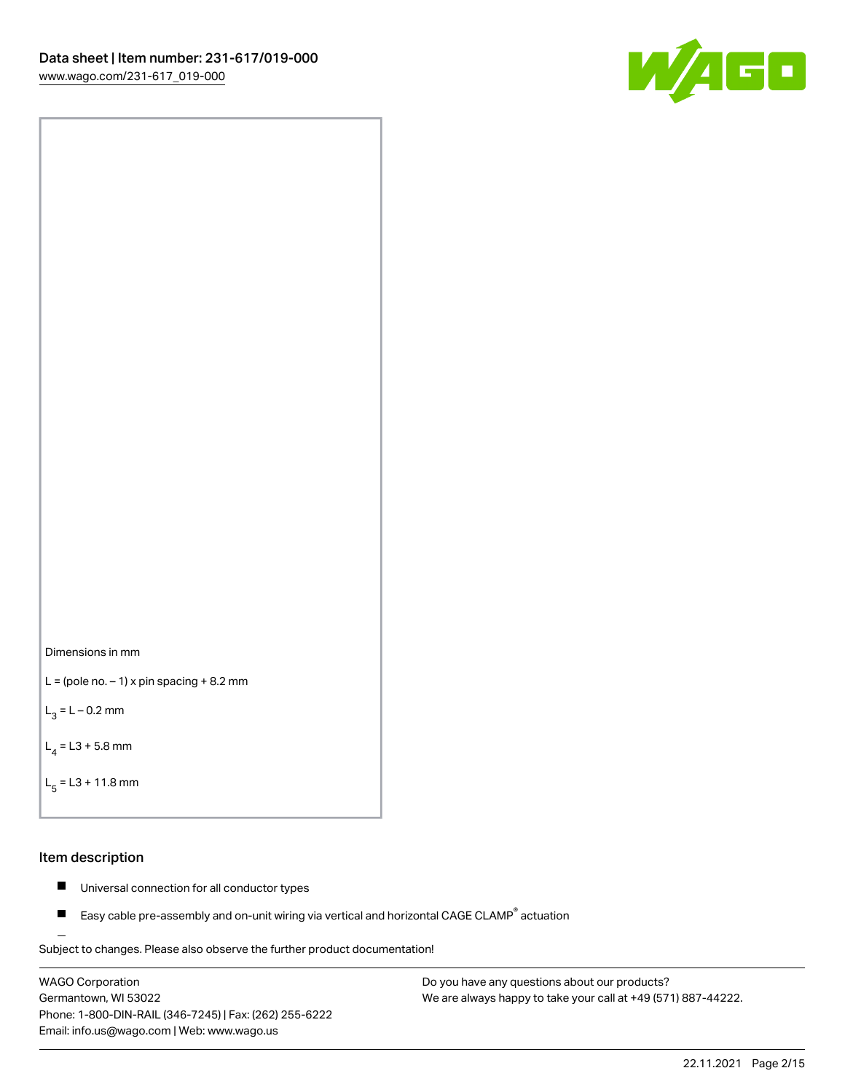



```
L = (pole no. -1) x pin spacing +8.2 mm
```
 $L_3 = L - 0.2$  mm

```
L_4 = L3 + 5.8 mm
```

```
L_{\rm g} = L3 + 11.8 mm
```
#### Item description

- $\blacksquare$ Universal connection for all conductor types
- Easy cable pre-assembly and on-unit wiring via vertical and horizontal CAGE CLAMP<sup>®</sup> actuation  $\blacksquare$

Subject to changes. Please also observe the further product documentation! For wire-to-wire and board-to-wire connections

WAGO Corporation Germantown, WI 53022 Phone: 1-800-DIN-RAIL (346-7245) | Fax: (262) 255-6222 Email: info.us@wago.com | Web: www.wago.us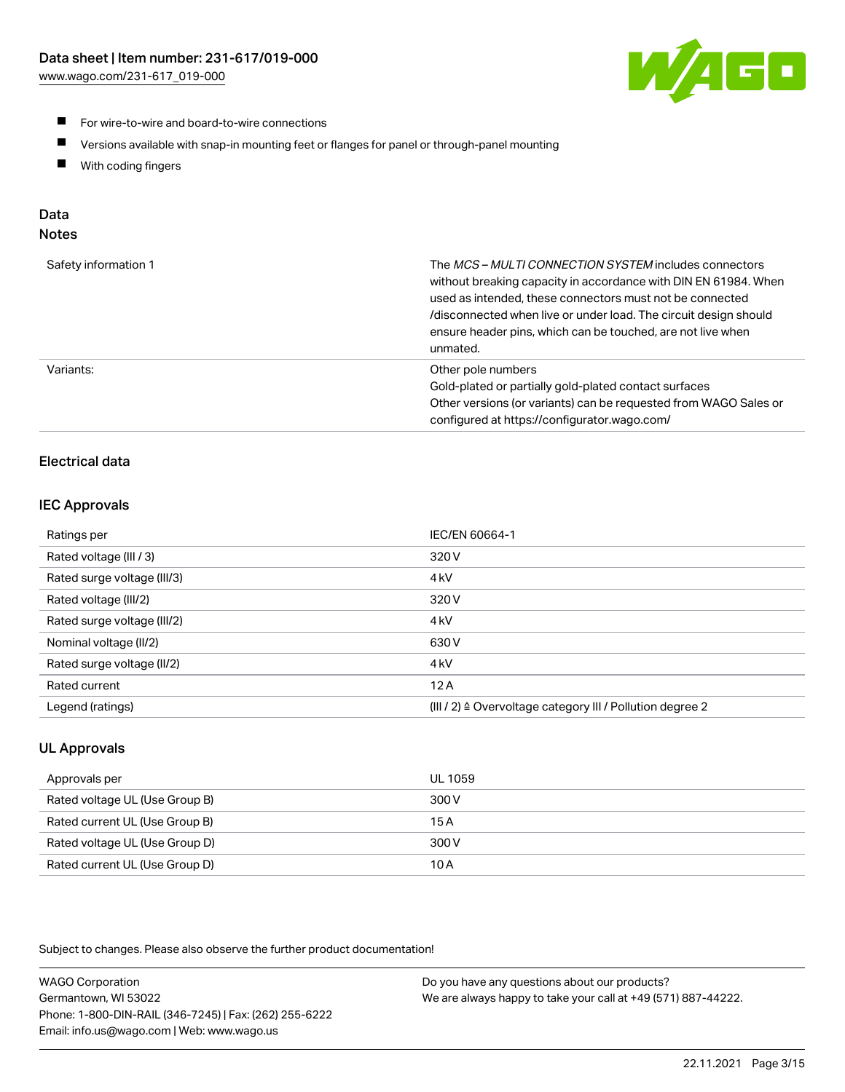

- **For wire-to-wire and board-to-wire connections**
- $\blacksquare$ Versions available with snap-in mounting feet or flanges for panel or through-panel mounting
- $\blacksquare$ With coding fingers

## Data

## Notes

| Safety information 1 | The MCS-MULTI CONNECTION SYSTEM includes connectors<br>without breaking capacity in accordance with DIN EN 61984. When<br>used as intended, these connectors must not be connected<br>/disconnected when live or under load. The circuit design should<br>ensure header pins, which can be touched, are not live when<br>unmated. |
|----------------------|-----------------------------------------------------------------------------------------------------------------------------------------------------------------------------------------------------------------------------------------------------------------------------------------------------------------------------------|
| Variants:            | Other pole numbers<br>Gold-plated or partially gold-plated contact surfaces<br>Other versions (or variants) can be requested from WAGO Sales or<br>configured at https://configurator.wago.com/                                                                                                                                   |

## Electrical data

## IEC Approvals

| Ratings per                 | IEC/EN 60664-1                                                        |
|-----------------------------|-----------------------------------------------------------------------|
| Rated voltage (III / 3)     | 320 V                                                                 |
| Rated surge voltage (III/3) | 4 <sub>k</sub> V                                                      |
| Rated voltage (III/2)       | 320 V                                                                 |
| Rated surge voltage (III/2) | 4 <sub>k</sub> V                                                      |
| Nominal voltage (II/2)      | 630 V                                                                 |
| Rated surge voltage (II/2)  | 4 <sub>k</sub> V                                                      |
| Rated current               | 12A                                                                   |
| Legend (ratings)            | $(III / 2)$ $\triangle$ Overvoltage category III / Pollution degree 2 |

## UL Approvals

| Approvals per                  | UL 1059 |
|--------------------------------|---------|
| Rated voltage UL (Use Group B) | 300 V   |
| Rated current UL (Use Group B) | 15 A    |
| Rated voltage UL (Use Group D) | 300 V   |
| Rated current UL (Use Group D) | 10 A    |

Subject to changes. Please also observe the further product documentation!

| <b>WAGO Corporation</b>                                | Do you have any questions about our products?                 |
|--------------------------------------------------------|---------------------------------------------------------------|
| Germantown, WI 53022                                   | We are always happy to take your call at +49 (571) 887-44222. |
| Phone: 1-800-DIN-RAIL (346-7245)   Fax: (262) 255-6222 |                                                               |
| Email: info.us@wago.com   Web: www.wago.us             |                                                               |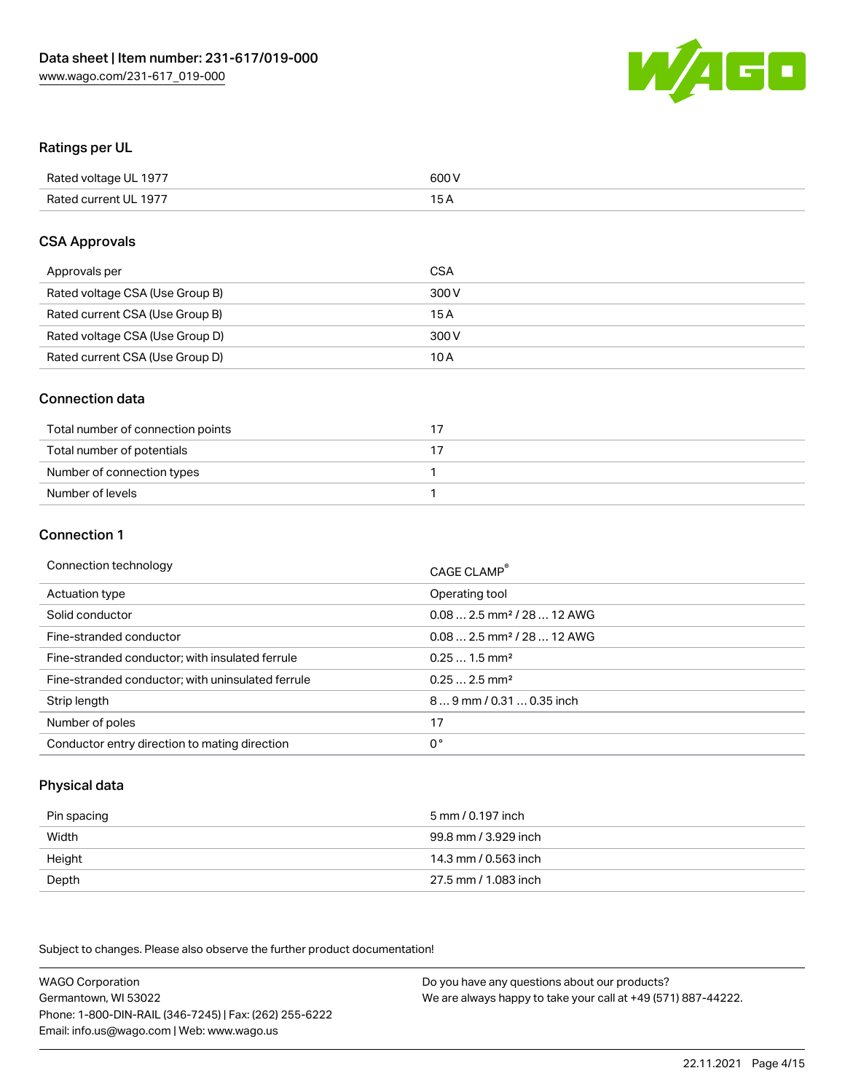

#### Ratings per UL

| Rated voltage UL 1977 | 600 V |
|-----------------------|-------|
| Rated current UL 1977 | 1 E   |

#### CSA Approvals

| Approvals per                   | CSA   |
|---------------------------------|-------|
| Rated voltage CSA (Use Group B) | 300 V |
| Rated current CSA (Use Group B) | 15 A  |
| Rated voltage CSA (Use Group D) | 300 V |
| Rated current CSA (Use Group D) | 10 A  |

#### Connection data

| Total number of connection points |  |
|-----------------------------------|--|
| Total number of potentials        |  |
| Number of connection types        |  |
| Number of levels                  |  |

#### Connection 1

| Connection technology                             | CAGE CLAMP <sup>®</sup>                 |
|---------------------------------------------------|-----------------------------------------|
| Actuation type                                    | Operating tool                          |
| Solid conductor                                   | $0.082.5$ mm <sup>2</sup> / 28  12 AWG  |
| Fine-stranded conductor                           | $0.08$ 2.5 mm <sup>2</sup> / 28  12 AWG |
| Fine-stranded conductor; with insulated ferrule   | $0.251.5$ mm <sup>2</sup>               |
| Fine-stranded conductor; with uninsulated ferrule | $0.252.5$ mm <sup>2</sup>               |
| Strip length                                      | 89 mm / 0.31  0.35 inch                 |
| Number of poles                                   | 17                                      |
| Conductor entry direction to mating direction     | 0°                                      |

## Physical data

| Pin spacing | 5 mm / 0.197 inch    |
|-------------|----------------------|
| Width       | 99.8 mm / 3.929 inch |
| Height      | 14.3 mm / 0.563 inch |
| Depth       | 27.5 mm / 1.083 inch |

Subject to changes. Please also observe the further product documentation!

WAGO Corporation Germantown, WI 53022 Phone: 1-800-DIN-RAIL (346-7245) | Fax: (262) 255-6222 Email: info.us@wago.com | Web: www.wago.us Do you have any questions about our products? We are always happy to take your call at +49 (571) 887-44222.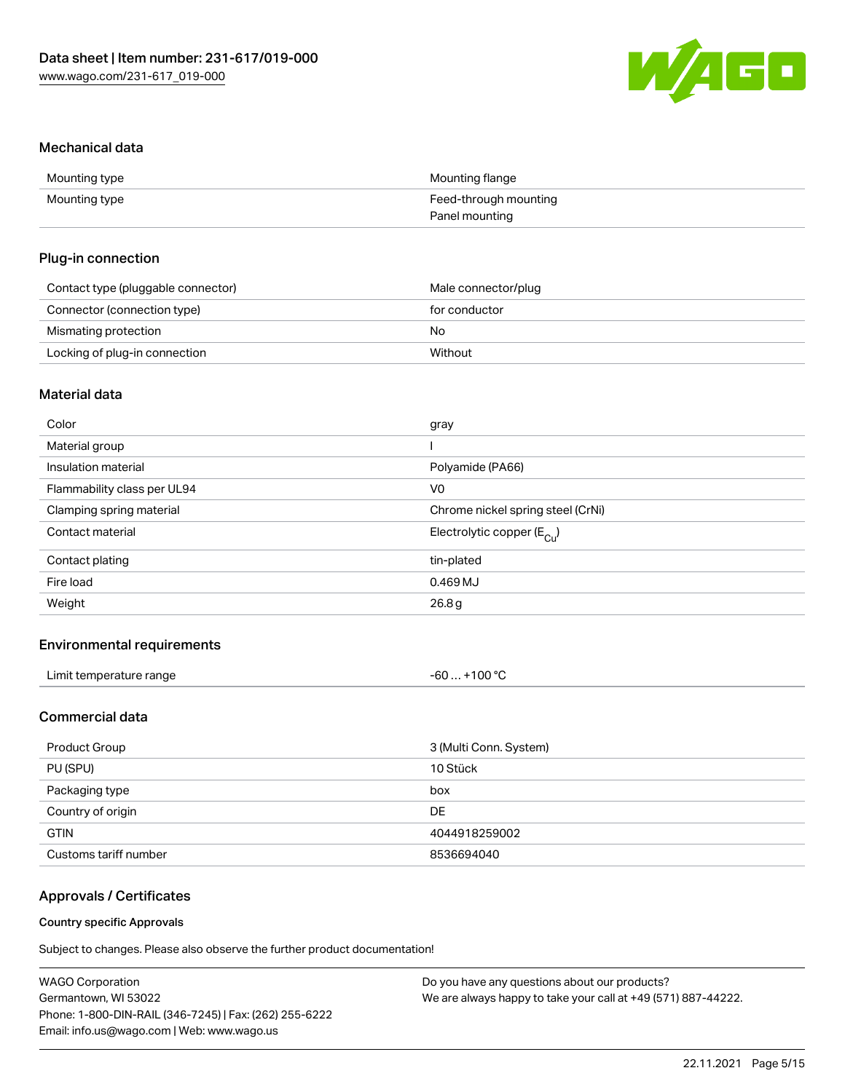

#### Mechanical data

| Mounting type | Mounting flange       |
|---------------|-----------------------|
| Mounting type | Feed-through mounting |
|               | Panel mounting        |

#### Plug-in connection

| Contact type (pluggable connector) | Male connector/plug |
|------------------------------------|---------------------|
| Connector (connection type)        | for conductor       |
| Mismating protection               | No                  |
| Locking of plug-in connection      | Without             |

## Material data

| Color                       | gray                                  |
|-----------------------------|---------------------------------------|
| Material group              |                                       |
| Insulation material         | Polyamide (PA66)                      |
| Flammability class per UL94 | V0                                    |
| Clamping spring material    | Chrome nickel spring steel (CrNi)     |
| Contact material            | Electrolytic copper $(E_{\text{Cl}})$ |
| Contact plating             | tin-plated                            |
| Fire load                   | 0.469 MJ                              |
| Weight                      | 26.8g                                 |
|                             |                                       |

## Environmental requirements

| Limit temperature range<br>. | +100 $^{\circ}$ C<br>-60… |  |
|------------------------------|---------------------------|--|
|------------------------------|---------------------------|--|

## Commercial data

| Product Group         | 3 (Multi Conn. System) |
|-----------------------|------------------------|
| PU (SPU)              | 10 Stück               |
| Packaging type        | box                    |
| Country of origin     | DE                     |
| <b>GTIN</b>           | 4044918259002          |
| Customs tariff number | 8536694040             |

## Approvals / Certificates

#### Country specific Approvals

Subject to changes. Please also observe the further product documentation!

| <b>WAGO Corporation</b>                                | Do you have any questions about our products?                 |
|--------------------------------------------------------|---------------------------------------------------------------|
| Germantown, WI 53022                                   | We are always happy to take your call at +49 (571) 887-44222. |
| Phone: 1-800-DIN-RAIL (346-7245)   Fax: (262) 255-6222 |                                                               |
| Email: info.us@wago.com   Web: www.wago.us             |                                                               |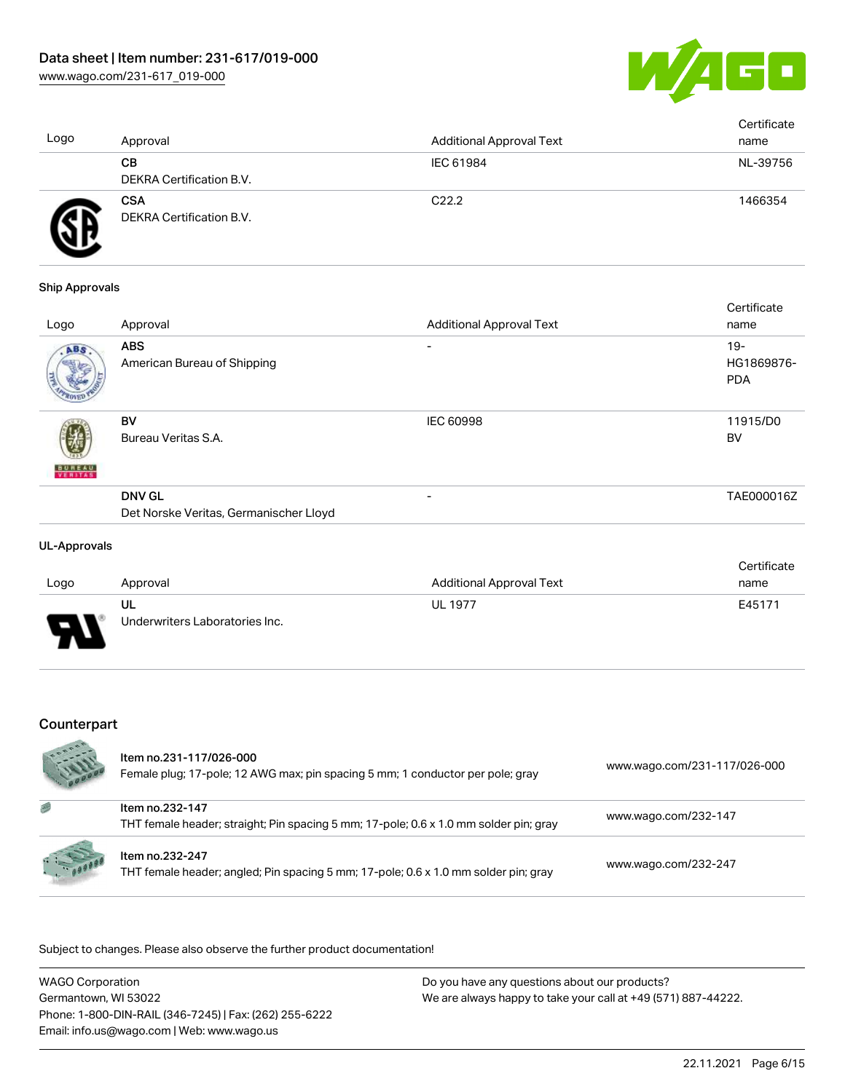

| Logo | Approval                               | <b>Additional Approval Text</b> | Certificate<br>name |
|------|----------------------------------------|---------------------------------|---------------------|
|      | CВ<br>DEKRA Certification B.V.         | IEC 61984                       | NL-39756            |
| F    | <b>CSA</b><br>DEKRA Certification B.V. | C <sub>22.2</sub>               | 1466354             |

#### Ship Approvals

| Approval                                  | <b>Additional Approval Text</b>        | name                               |
|-------------------------------------------|----------------------------------------|------------------------------------|
| <b>ABS</b><br>American Bureau of Shipping | $\overline{\phantom{0}}$               | $19 -$<br>HG1869876-<br><b>PDA</b> |
| <b>BV</b><br>Bureau Veritas S.A.          | <b>IEC 60998</b>                       | 11915/D0<br><b>BV</b>              |
| <b>DNV GL</b>                             | $\overline{\phantom{0}}$               | TAE000016Z                         |
|                                           | Det Norske Veritas, Germanischer Lloyd |                                    |

#### UL-Approvals

|                |                                |                                 | Certificate |
|----------------|--------------------------------|---------------------------------|-------------|
| Logo           | Approval                       | <b>Additional Approval Text</b> | name        |
|                | UL                             | <b>UL 1977</b>                  | E45171      |
| $\blacksquare$ | Underwriters Laboratories Inc. |                                 |             |

## Counterpart

|         | Item no.231-117/026-000<br>Female plug; 17-pole; 12 AWG max; pin spacing 5 mm; 1 conductor per pole; gray | www.wago.com/231-117/026-000 |
|---------|-----------------------------------------------------------------------------------------------------------|------------------------------|
|         | Item no.232-147<br>THT female header; straight; Pin spacing 5 mm; 17-pole; 0.6 x 1.0 mm solder pin; gray  | www.wago.com/232-147         |
| $= 1.1$ | Item no.232-247<br>THT female header; angled; Pin spacing 5 mm; 17-pole; 0.6 x 1.0 mm solder pin; gray    | www.wago.com/232-247         |

.<br>Subject to changes. Please also observe the further product documentation!

| <b>WAGO Corporation</b>                                | Do you have any questions about our products?                 |
|--------------------------------------------------------|---------------------------------------------------------------|
| Germantown, WI 53022                                   | We are always happy to take your call at +49 (571) 887-44222. |
| Phone: 1-800-DIN-RAIL (346-7245)   Fax: (262) 255-6222 |                                                               |
| Email: info.us@wago.com   Web: www.wago.us             |                                                               |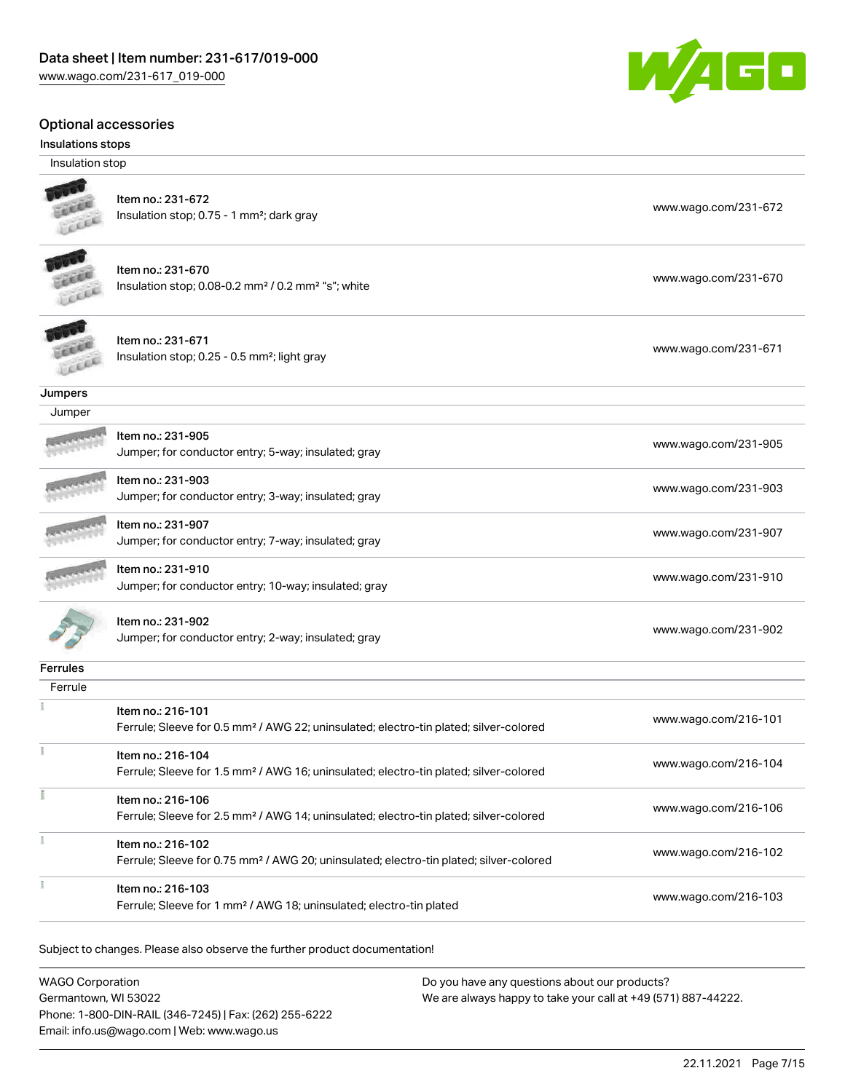#### Optional accessories

#### Insulations stops

Insulation stop



#### Item no.: 231-672 Insulation stop; 0.75 - 1 mm²; dark gray [www.wago.com/231-672](http://www.wago.com/231-672)

| It |
|----|
| In |
|    |

em no.: 231-670 Insulation stop; 0.08-0.2 mm² / 0.2 mm² "s"; white [www.wago.com/231-670](http://www.wago.com/231-670)



#### Item no.: 231-671 Item ito... 231-071<br>Insulation stop; 0.25 - 0.5 mm²; light gray [www.wago.com/231-671](http://www.wago.com/231-671)

**Jumpers** 

| Jumper          |                                                                           |                      |
|-----------------|---------------------------------------------------------------------------|----------------------|
|                 | Item no.: 231-905<br>Jumper; for conductor entry; 5-way; insulated; gray  | www.wago.com/231-905 |
|                 | Item no.: 231-903<br>Jumper; for conductor entry; 3-way; insulated; gray  | www.wago.com/231-903 |
|                 | Item no.: 231-907<br>Jumper; for conductor entry; 7-way; insulated; gray  | www.wago.com/231-907 |
|                 | Item no.: 231-910<br>Jumper; for conductor entry; 10-way; insulated; gray | www.wago.com/231-910 |
|                 | Item no.: 231-902<br>Jumper; for conductor entry; 2-way; insulated; gray  | www.wago.com/231-902 |
| <b>Ferrules</b> |                                                                           |                      |

| Ferrule |                                                                                                                         |                      |
|---------|-------------------------------------------------------------------------------------------------------------------------|----------------------|
|         | Item no.: 216-101<br>Ferrule; Sleeve for 0.5 mm <sup>2</sup> / AWG 22; uninsulated; electro-tin plated; silver-colored  | www.wago.com/216-101 |
|         | Item no.: 216-104<br>Ferrule; Sleeve for 1.5 mm <sup>2</sup> / AWG 16; uninsulated; electro-tin plated; silver-colored  | www.wago.com/216-104 |
|         | Item no.: 216-106<br>Ferrule; Sleeve for 2.5 mm <sup>2</sup> / AWG 14; uninsulated; electro-tin plated; silver-colored  | www.wago.com/216-106 |
|         | Item no.: 216-102<br>Ferrule; Sleeve for 0.75 mm <sup>2</sup> / AWG 20; uninsulated; electro-tin plated; silver-colored | www.wago.com/216-102 |
|         | Item no.: 216-103<br>Ferrule; Sleeve for 1 mm <sup>2</sup> / AWG 18; uninsulated; electro-tin plated                    | www.wago.com/216-103 |

Subject to changes. Please also observe the further product documentation!

WAGO Corporation Germantown, WI 53022 Phone: 1-800-DIN-RAIL (346-7245) | Fax: (262) 255-6222 Email: info.us@wago.com | Web: www.wago.us

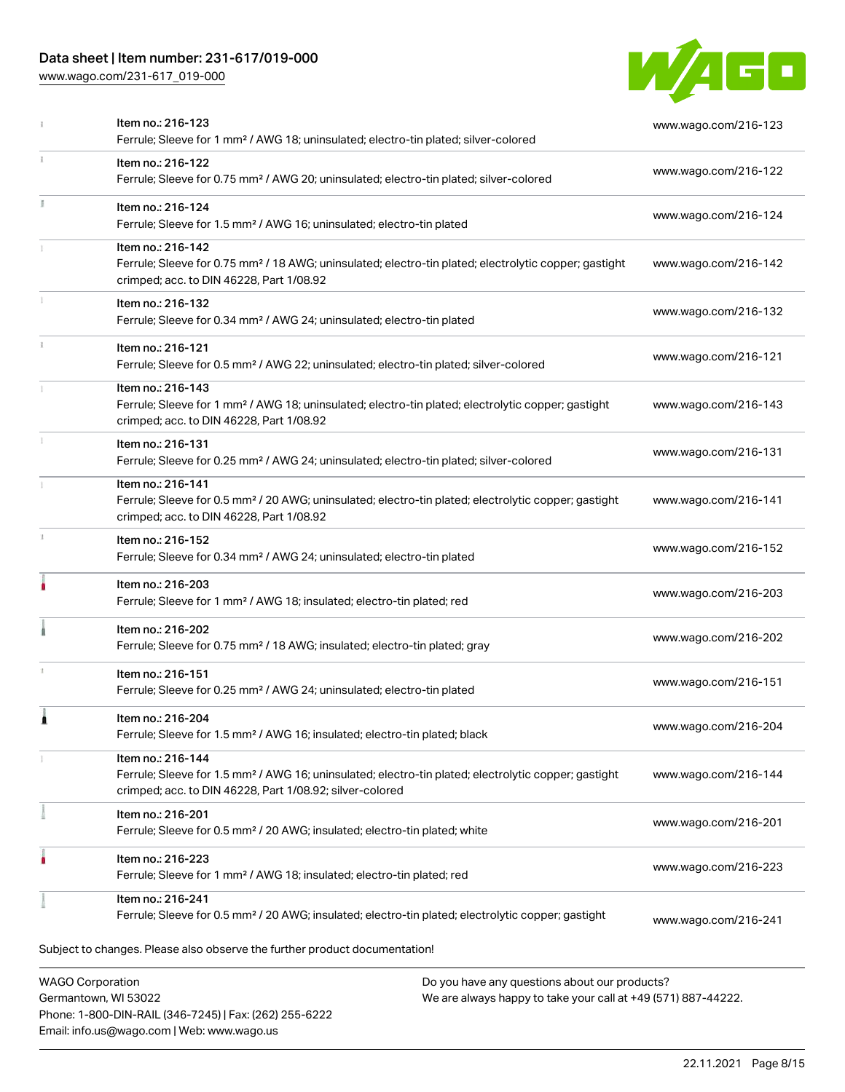## Data sheet | Item number: 231-617/019-000

Phone: 1-800-DIN-RAIL (346-7245) | Fax: (262) 255-6222

Email: info.us@wago.com | Web: www.wago.us

[www.wago.com/231-617\\_019-000](http://www.wago.com/231-617_019-000)



|   | Item no.: 216-123<br>Ferrule; Sleeve for 1 mm <sup>2</sup> / AWG 18; uninsulated; electro-tin plated; silver-colored                                                                              |                                                                                                                | www.wago.com/216-123 |
|---|---------------------------------------------------------------------------------------------------------------------------------------------------------------------------------------------------|----------------------------------------------------------------------------------------------------------------|----------------------|
| ı | Item no.: 216-122<br>Ferrule; Sleeve for 0.75 mm <sup>2</sup> / AWG 20; uninsulated; electro-tin plated; silver-colored                                                                           |                                                                                                                | www.wago.com/216-122 |
|   | Item no.: 216-124<br>Ferrule; Sleeve for 1.5 mm <sup>2</sup> / AWG 16; uninsulated; electro-tin plated                                                                                            |                                                                                                                | www.wago.com/216-124 |
|   | Item no.: 216-142<br>Ferrule; Sleeve for 0.75 mm <sup>2</sup> / 18 AWG; uninsulated; electro-tin plated; electrolytic copper; gastight<br>crimped; acc. to DIN 46228, Part 1/08.92                |                                                                                                                | www.wago.com/216-142 |
|   | Item no.: 216-132<br>Ferrule; Sleeve for 0.34 mm <sup>2</sup> / AWG 24; uninsulated; electro-tin plated                                                                                           |                                                                                                                | www.wago.com/216-132 |
|   | Item no.: 216-121<br>Ferrule; Sleeve for 0.5 mm <sup>2</sup> / AWG 22; uninsulated; electro-tin plated; silver-colored                                                                            |                                                                                                                | www.wago.com/216-121 |
|   | Item no.: 216-143<br>Ferrule; Sleeve for 1 mm <sup>2</sup> / AWG 18; uninsulated; electro-tin plated; electrolytic copper; gastight<br>crimped; acc. to DIN 46228, Part 1/08.92                   |                                                                                                                | www.wago.com/216-143 |
|   | Item no.: 216-131<br>Ferrule; Sleeve for 0.25 mm <sup>2</sup> / AWG 24; uninsulated; electro-tin plated; silver-colored                                                                           |                                                                                                                | www.wago.com/216-131 |
|   | Item no.: 216-141<br>Ferrule; Sleeve for 0.5 mm <sup>2</sup> / 20 AWG; uninsulated; electro-tin plated; electrolytic copper; gastight<br>crimped; acc. to DIN 46228, Part 1/08.92                 |                                                                                                                | www.wago.com/216-141 |
|   | Item no.: 216-152<br>Ferrule; Sleeve for 0.34 mm <sup>2</sup> / AWG 24; uninsulated; electro-tin plated                                                                                           |                                                                                                                | www.wago.com/216-152 |
|   | Item no.: 216-203<br>Ferrule; Sleeve for 1 mm <sup>2</sup> / AWG 18; insulated; electro-tin plated; red                                                                                           |                                                                                                                | www.wago.com/216-203 |
|   | Item no.: 216-202<br>Ferrule; Sleeve for 0.75 mm <sup>2</sup> / 18 AWG; insulated; electro-tin plated; gray                                                                                       |                                                                                                                | www.wago.com/216-202 |
|   | Item no.: 216-151<br>Ferrule; Sleeve for 0.25 mm <sup>2</sup> / AWG 24; uninsulated; electro-tin plated                                                                                           |                                                                                                                | www.wago.com/216-151 |
|   | Item no.: 216-204<br>Ferrule; Sleeve for 1.5 mm <sup>2</sup> / AWG 16; insulated; electro-tin plated; black                                                                                       |                                                                                                                | www.wago.com/216-204 |
|   | Item no.: 216-144<br>Ferrule; Sleeve for 1.5 mm <sup>2</sup> / AWG 16; uninsulated; electro-tin plated; electrolytic copper; gastight<br>crimped; acc. to DIN 46228, Part 1/08.92; silver-colored |                                                                                                                | www.wago.com/216-144 |
|   | Item no.: 216-201<br>Ferrule; Sleeve for 0.5 mm <sup>2</sup> / 20 AWG; insulated; electro-tin plated; white                                                                                       |                                                                                                                | www.wago.com/216-201 |
|   | Item no.: 216-223<br>Ferrule; Sleeve for 1 mm <sup>2</sup> / AWG 18; insulated; electro-tin plated; red                                                                                           |                                                                                                                | www.wago.com/216-223 |
|   | Item no.: 216-241<br>Ferrule; Sleeve for 0.5 mm <sup>2</sup> / 20 AWG; insulated; electro-tin plated; electrolytic copper; gastight                                                               |                                                                                                                | www.wago.com/216-241 |
|   | Subject to changes. Please also observe the further product documentation!                                                                                                                        |                                                                                                                |                      |
|   | <b>WAGO Corporation</b><br>Germantown, WI 53022                                                                                                                                                   | Do you have any questions about our products?<br>We are always happy to take your call at +49 (571) 887-44222. |                      |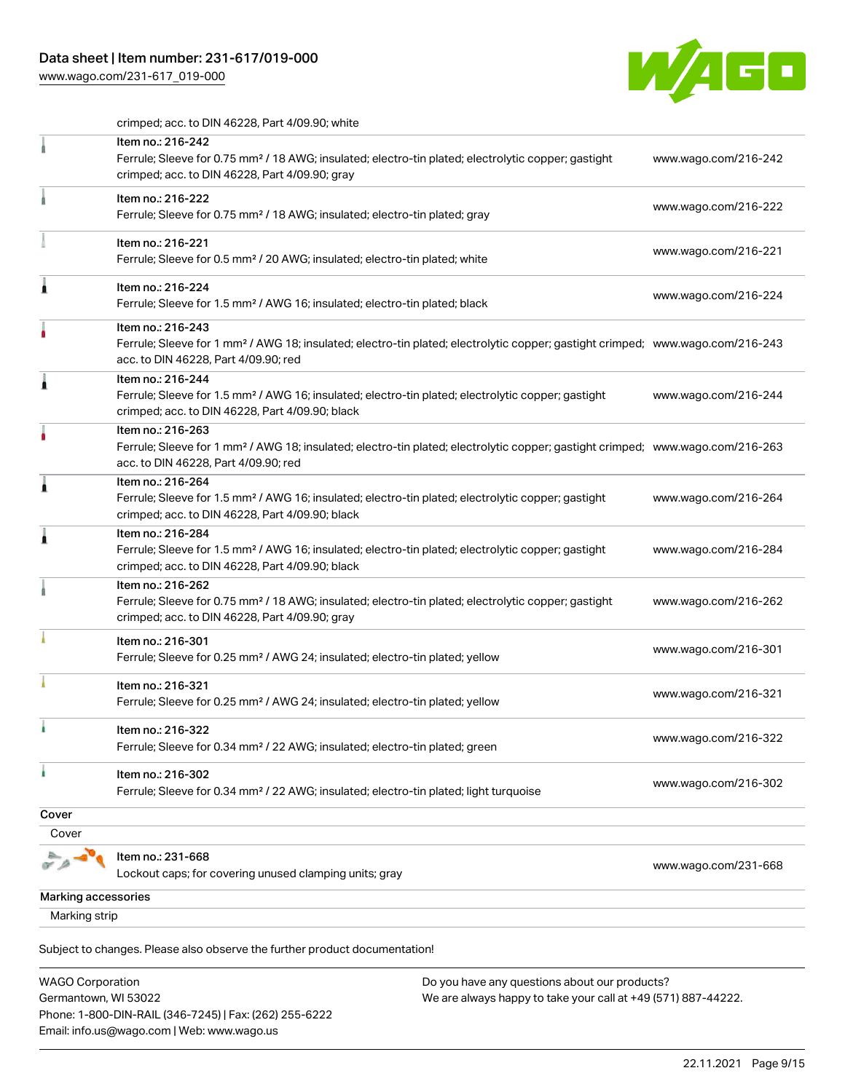## Data sheet | Item number: 231-617/019-000

[www.wago.com/231-617\\_019-000](http://www.wago.com/231-617_019-000)



crimped; acc. to DIN 46228, Part 4/09.90; white

|                     | Item no.: 216-242<br>Ferrule; Sleeve for 0.75 mm <sup>2</sup> / 18 AWG; insulated; electro-tin plated; electrolytic copper; gastight                                                                    | www.wago.com/216-242 |
|---------------------|---------------------------------------------------------------------------------------------------------------------------------------------------------------------------------------------------------|----------------------|
|                     | crimped; acc. to DIN 46228, Part 4/09.90; gray                                                                                                                                                          |                      |
|                     | Item no.: 216-222<br>Ferrule; Sleeve for 0.75 mm <sup>2</sup> / 18 AWG; insulated; electro-tin plated; gray                                                                                             | www.wago.com/216-222 |
|                     | Item no.: 216-221<br>Ferrule; Sleeve for 0.5 mm <sup>2</sup> / 20 AWG; insulated; electro-tin plated; white                                                                                             | www.wago.com/216-221 |
| ٨                   | Item no.: 216-224<br>Ferrule; Sleeve for 1.5 mm <sup>2</sup> / AWG 16; insulated; electro-tin plated; black                                                                                             | www.wago.com/216-224 |
|                     | Item no.: 216-243<br>Ferrule; Sleeve for 1 mm <sup>2</sup> / AWG 18; insulated; electro-tin plated; electrolytic copper; gastight crimped; www.wago.com/216-243<br>acc. to DIN 46228, Part 4/09.90; red |                      |
| Â                   | Item no.: 216-244<br>Ferrule; Sleeve for 1.5 mm <sup>2</sup> / AWG 16; insulated; electro-tin plated; electrolytic copper; gastight<br>crimped; acc. to DIN 46228, Part 4/09.90; black                  | www.wago.com/216-244 |
|                     | Item no.: 216-263<br>Ferrule; Sleeve for 1 mm <sup>2</sup> / AWG 18; insulated; electro-tin plated; electrolytic copper; gastight crimped; www.wago.com/216-263<br>acc. to DIN 46228, Part 4/09.90; red |                      |
| 1                   | Item no.: 216-264<br>Ferrule; Sleeve for 1.5 mm <sup>2</sup> / AWG 16; insulated; electro-tin plated; electrolytic copper; gastight<br>crimped; acc. to DIN 46228, Part 4/09.90; black                  | www.wago.com/216-264 |
| £                   | Item no.: 216-284<br>Ferrule; Sleeve for 1.5 mm <sup>2</sup> / AWG 16; insulated; electro-tin plated; electrolytic copper; gastight<br>crimped; acc. to DIN 46228, Part 4/09.90; black                  | www.wago.com/216-284 |
|                     | Item no.: 216-262<br>Ferrule; Sleeve for 0.75 mm <sup>2</sup> / 18 AWG; insulated; electro-tin plated; electrolytic copper; gastight<br>crimped; acc. to DIN 46228, Part 4/09.90; gray                  | www.wago.com/216-262 |
|                     | Item no.: 216-301<br>Ferrule; Sleeve for 0.25 mm <sup>2</sup> / AWG 24; insulated; electro-tin plated; yellow                                                                                           | www.wago.com/216-301 |
|                     | Item no.: 216-321<br>Ferrule; Sleeve for 0.25 mm <sup>2</sup> / AWG 24; insulated; electro-tin plated; yellow                                                                                           | www.wago.com/216-321 |
| ì.                  | Item no.: 216-322<br>Ferrule; Sleeve for 0.34 mm <sup>2</sup> / 22 AWG; insulated; electro-tin plated; green                                                                                            | www.wago.com/216-322 |
| ۸                   | Item no.: 216-302<br>Ferrule; Sleeve for 0.34 mm <sup>2</sup> / 22 AWG; insulated; electro-tin plated; light turquoise                                                                                  | www.wago.com/216-302 |
| Cover               |                                                                                                                                                                                                         |                      |
| Cover               |                                                                                                                                                                                                         |                      |
|                     | Item no.: 231-668<br>Lockout caps; for covering unused clamping units; gray                                                                                                                             | www.wago.com/231-668 |
| Marking accessories |                                                                                                                                                                                                         |                      |
| Marking strip       |                                                                                                                                                                                                         |                      |
|                     |                                                                                                                                                                                                         |                      |

Subject to changes. Please also observe the further product documentation!

| WAGO Corporation                                       | Do you have any questions about our products?                 |  |
|--------------------------------------------------------|---------------------------------------------------------------|--|
| Germantown, WI 53022                                   | We are always happy to take your call at +49 (571) 887-44222. |  |
| Phone: 1-800-DIN-RAIL (346-7245)   Fax: (262) 255-6222 |                                                               |  |
| Email: info.us@wago.com   Web: www.wago.us             |                                                               |  |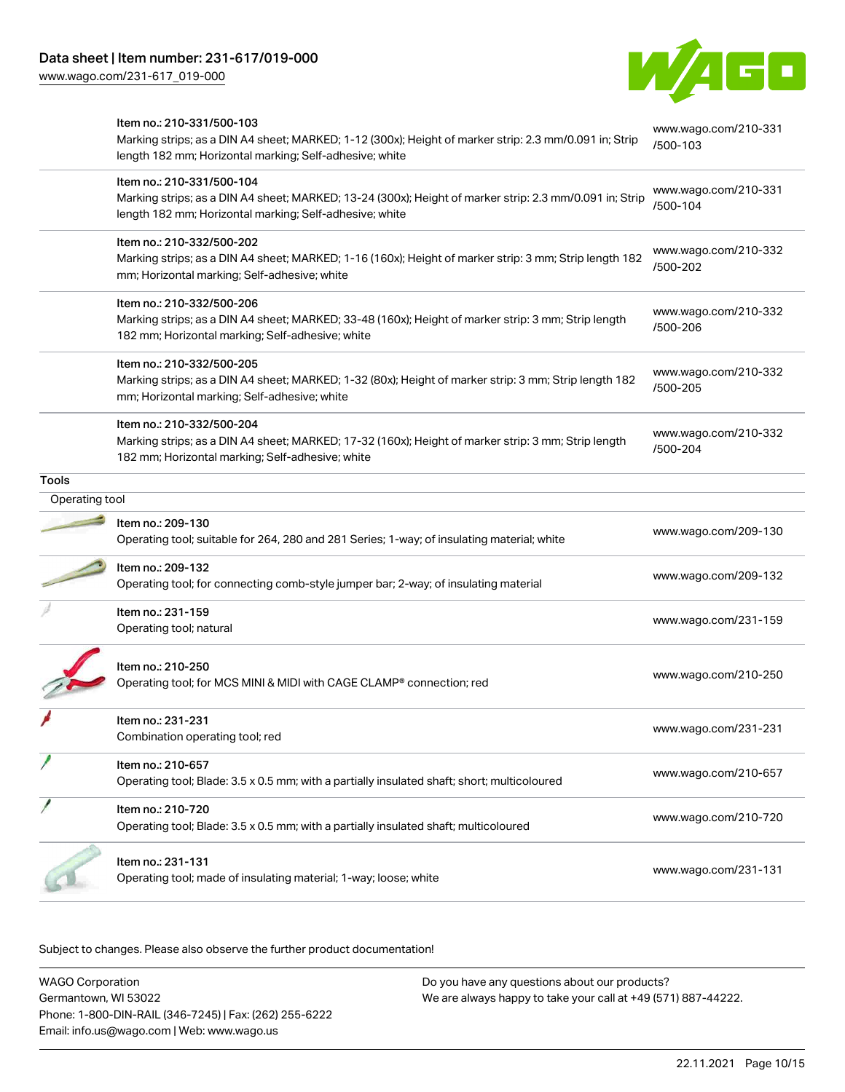[www.wago.com/231-617\\_019-000](http://www.wago.com/231-617_019-000)



|                | Item no.: 210-331/500-103<br>Marking strips; as a DIN A4 sheet; MARKED; 1-12 (300x); Height of marker strip: 2.3 mm/0.091 in; Strip<br>length 182 mm; Horizontal marking; Self-adhesive; white  | www.wago.com/210-331<br>/500-103 |
|----------------|-------------------------------------------------------------------------------------------------------------------------------------------------------------------------------------------------|----------------------------------|
|                | Item no.: 210-331/500-104<br>Marking strips; as a DIN A4 sheet; MARKED; 13-24 (300x); Height of marker strip: 2.3 mm/0.091 in; Strip<br>length 182 mm; Horizontal marking; Self-adhesive; white | www.wago.com/210-331<br>/500-104 |
|                | Item no.: 210-332/500-202<br>Marking strips; as a DIN A4 sheet; MARKED; 1-16 (160x); Height of marker strip: 3 mm; Strip length 182<br>mm; Horizontal marking; Self-adhesive; white             | www.wago.com/210-332<br>/500-202 |
|                | Item no.: 210-332/500-206<br>Marking strips; as a DIN A4 sheet; MARKED; 33-48 (160x); Height of marker strip: 3 mm; Strip length<br>182 mm; Horizontal marking; Self-adhesive; white            | www.wago.com/210-332<br>/500-206 |
|                | Item no.: 210-332/500-205<br>Marking strips; as a DIN A4 sheet; MARKED; 1-32 (80x); Height of marker strip: 3 mm; Strip length 182<br>mm; Horizontal marking; Self-adhesive; white              | www.wago.com/210-332<br>/500-205 |
|                | Item no.: 210-332/500-204<br>Marking strips; as a DIN A4 sheet; MARKED; 17-32 (160x); Height of marker strip: 3 mm; Strip length<br>182 mm; Horizontal marking; Self-adhesive; white            | www.wago.com/210-332<br>/500-204 |
| <b>Tools</b>   |                                                                                                                                                                                                 |                                  |
| Operating tool |                                                                                                                                                                                                 |                                  |
|                | Item no.: 209-130<br>Operating tool; suitable for 264, 280 and 281 Series; 1-way; of insulating material; white                                                                                 | www.wago.com/209-130             |
|                | Item no.: 209-132<br>Operating tool; for connecting comb-style jumper bar; 2-way; of insulating material                                                                                        | www.wago.com/209-132             |
|                | Item no.: 231-159<br>Operating tool; natural                                                                                                                                                    | www.wago.com/231-159             |
|                | Item no.: 210-250<br>Operating tool; for MCS MINI & MIDI with CAGE CLAMP® connection; red                                                                                                       | www.wago.com/210-250             |
|                | Item no.: 231-231<br>Combination operating tool; red                                                                                                                                            | www.wago.com/231-231             |
|                | Item no.: 210-657<br>Operating tool; Blade: 3.5 x 0.5 mm; with a partially insulated shaft; short; multicoloured                                                                                | www.wago.com/210-657             |
|                | Item no.: 210-720<br>Operating tool; Blade: 3.5 x 0.5 mm; with a partially insulated shaft; multicoloured                                                                                       | www.wago.com/210-720             |
|                | Item no.: 231-131<br>Operating tool; made of insulating material; 1-way; loose; white                                                                                                           | www.wago.com/231-131             |

Subject to changes. Please also observe the further product documentation!

WAGO Corporation Germantown, WI 53022 Phone: 1-800-DIN-RAIL (346-7245) | Fax: (262) 255-6222 Email: info.us@wago.com | Web: www.wago.us Do you have any questions about our products? We are always happy to take your call at +49 (571) 887-44222.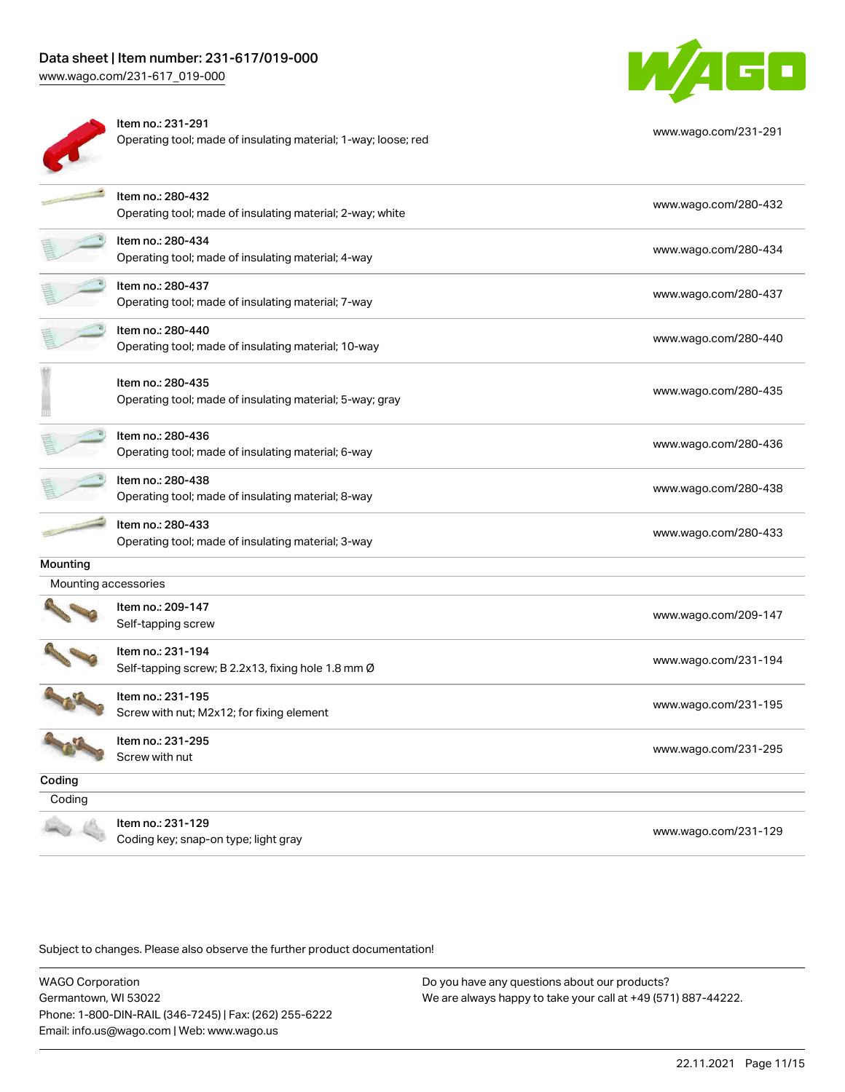## Data sheet | Item number: 231-617/019-000

[www.wago.com/231-617\\_019-000](http://www.wago.com/231-617_019-000)



| ltem no.: 231-291<br>Operating tool; made of insulating material; 1-way; loose; red | www.wago.com/231-291 |
|-------------------------------------------------------------------------------------|----------------------|
|                                                                                     |                      |



|                      | Item no.: 280-432<br>Operating tool; made of insulating material; 2-way; white | www.wago.com/280-432 |
|----------------------|--------------------------------------------------------------------------------|----------------------|
|                      | Item no.: 280-434<br>Operating tool; made of insulating material; 4-way        | www.wago.com/280-434 |
|                      | Item no.: 280-437<br>Operating tool; made of insulating material; 7-way        | www.wago.com/280-437 |
|                      | Item no.: 280-440<br>Operating tool; made of insulating material; 10-way       | www.wago.com/280-440 |
|                      | Item no.: 280-435<br>Operating tool; made of insulating material; 5-way; gray  | www.wago.com/280-435 |
|                      | Item no.: 280-436<br>Operating tool; made of insulating material; 6-way        | www.wago.com/280-436 |
|                      | Item no.: 280-438<br>Operating tool; made of insulating material; 8-way        | www.wago.com/280-438 |
|                      | Item no.: 280-433<br>Operating tool; made of insulating material; 3-way        | www.wago.com/280-433 |
| Mounting             |                                                                                |                      |
| Mounting accessories |                                                                                |                      |
|                      | Item no.: 209-147<br>Self-tapping screw                                        | www.wago.com/209-147 |
|                      | Item no.: 231-194<br>Self-tapping screw; B 2.2x13, fixing hole 1.8 mm Ø        | www.wago.com/231-194 |
|                      | Item no.: 231-195<br>Screw with nut; M2x12; for fixing element                 | www.wago.com/231-195 |
|                      | Item no.: 231-295<br>Screw with nut                                            | www.wago.com/231-295 |
| Coding               |                                                                                |                      |
| Coding               |                                                                                |                      |
|                      | Item no.: 231-129<br>Coding key; snap-on type; light gray                      | www.wago.com/231-129 |

Subject to changes. Please also observe the further product documentation!

WAGO Corporation Germantown, WI 53022 Phone: 1-800-DIN-RAIL (346-7245) | Fax: (262) 255-6222 Email: info.us@wago.com | Web: www.wago.us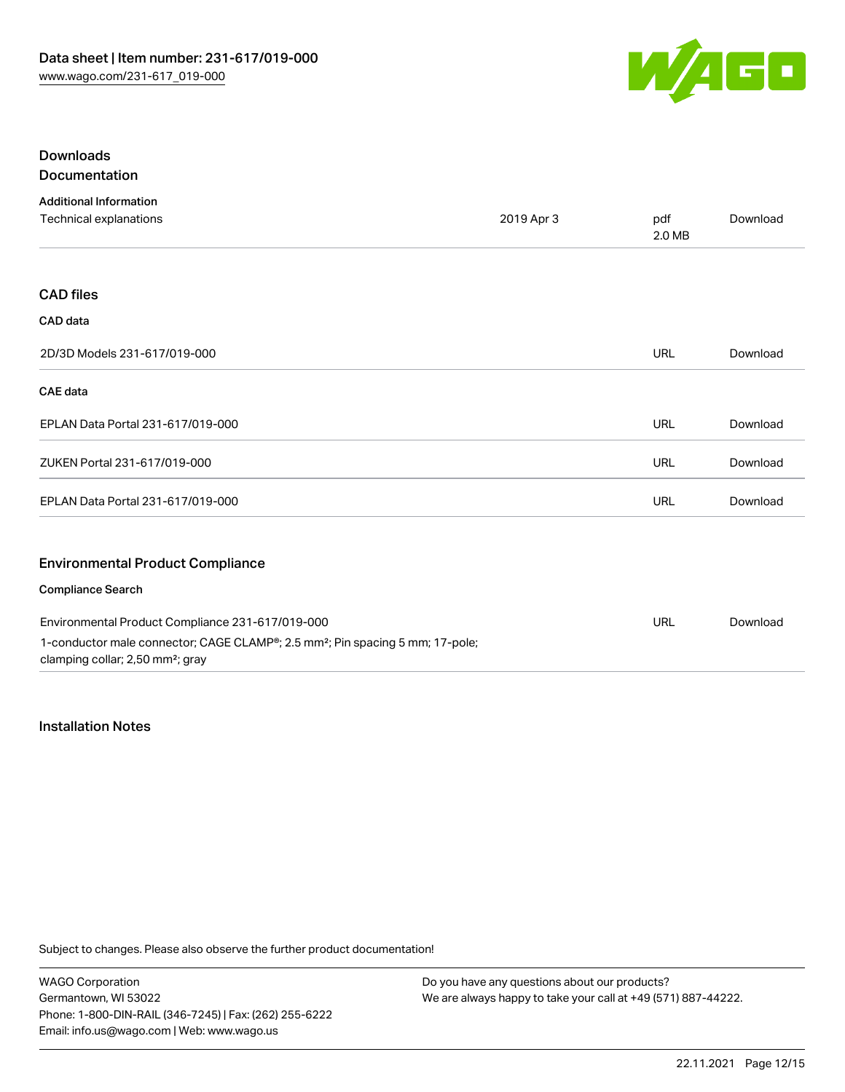

## Downloads Documentation

| <b>Additional Information</b>                                                                                                             |            |            |          |
|-------------------------------------------------------------------------------------------------------------------------------------------|------------|------------|----------|
| Technical explanations                                                                                                                    | 2019 Apr 3 |            | Download |
|                                                                                                                                           |            |            |          |
| <b>CAD files</b>                                                                                                                          |            |            |          |
| CAD data                                                                                                                                  |            |            |          |
| 2D/3D Models 231-617/019-000                                                                                                              |            | <b>URL</b> | Download |
| <b>CAE</b> data                                                                                                                           |            |            |          |
| EPLAN Data Portal 231-617/019-000                                                                                                         |            | URL        | Download |
| ZUKEN Portal 231-617/019-000                                                                                                              |            | URL        | Download |
| EPLAN Data Portal 231-617/019-000                                                                                                         |            | <b>URL</b> | Download |
| <b>Environmental Product Compliance</b>                                                                                                   |            |            |          |
| <b>Compliance Search</b>                                                                                                                  |            |            |          |
| Environmental Product Compliance 231-617/019-000                                                                                          |            | URL        | Download |
| 1-conductor male connector; CAGE CLAMP®; 2.5 mm <sup>2</sup> ; Pin spacing 5 mm; 17-pole;<br>clamping collar; 2,50 mm <sup>2</sup> ; gray |            |            |          |

## Installation Notes

Subject to changes. Please also observe the further product documentation!

WAGO Corporation Germantown, WI 53022 Phone: 1-800-DIN-RAIL (346-7245) | Fax: (262) 255-6222 Email: info.us@wago.com | Web: www.wago.us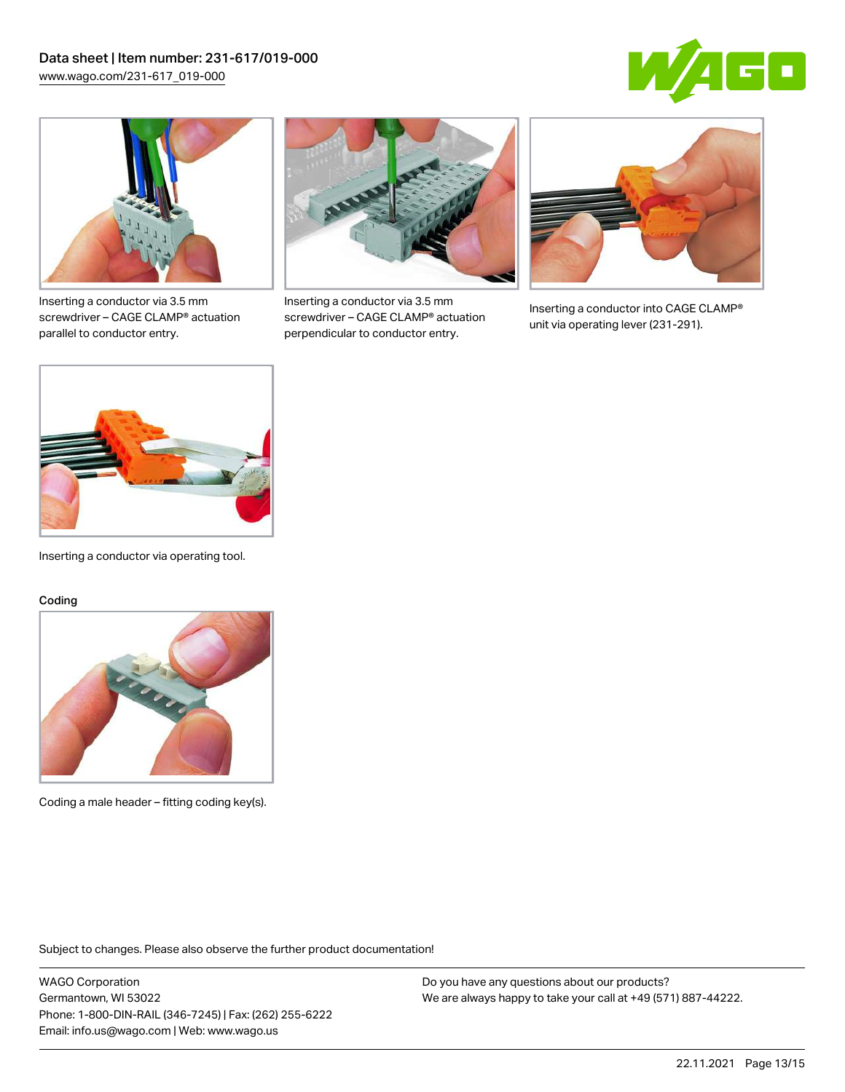



Inserting a conductor via 3.5 mm screwdriver – CAGE CLAMP® actuation parallel to conductor entry.



Inserting a conductor via 3.5 mm screwdriver – CAGE CLAMP® actuation perpendicular to conductor entry.



Inserting a conductor into CAGE CLAMP® unit via operating lever (231-291).



Inserting a conductor via operating tool.

#### Coding



Coding a male header – fitting coding key(s).

Subject to changes. Please also observe the further product documentation!

WAGO Corporation Germantown, WI 53022 Phone: 1-800-DIN-RAIL (346-7245) | Fax: (262) 255-6222 Email: info.us@wago.com | Web: www.wago.us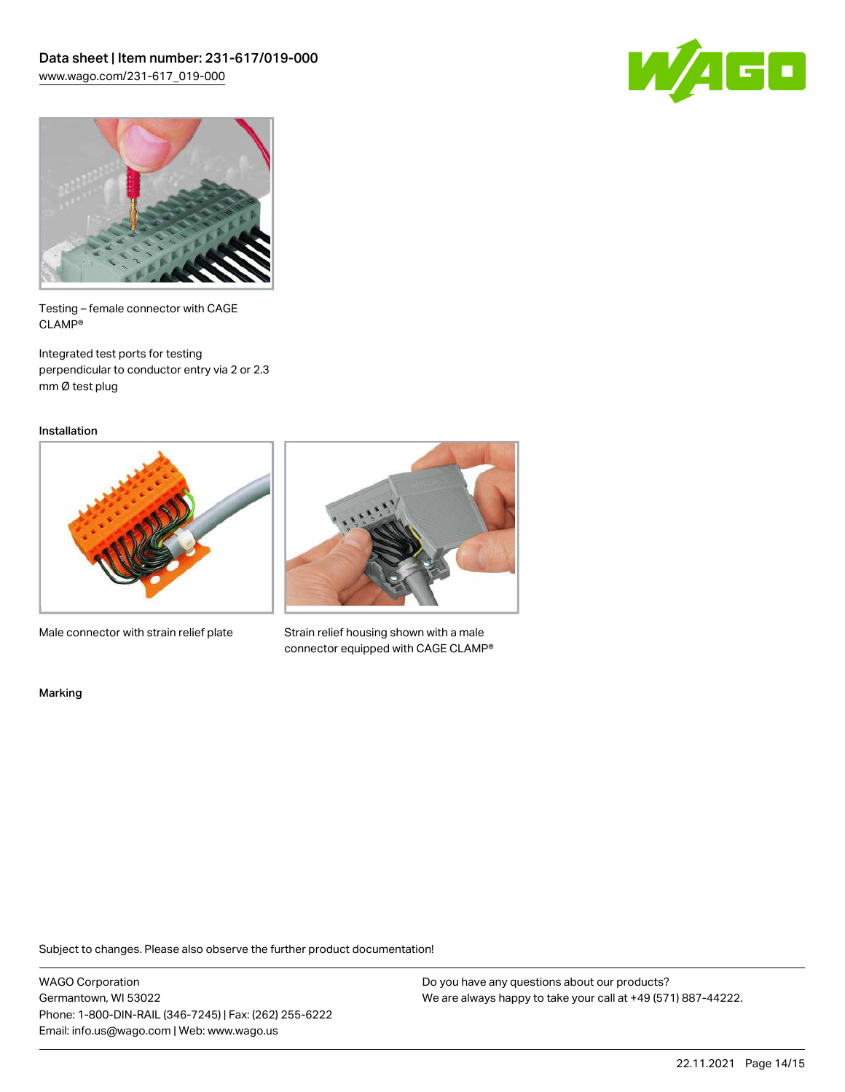



Testing – female connector with CAGE CLAMP®

Integrated test ports for testing perpendicular to conductor entry via 2 or 2.3 mm Ø test plug

Installation



Male connector with strain relief plate



Strain relief housing shown with a male connector equipped with CAGE CLAMP®

Marking

Subject to changes. Please also observe the further product documentation!

WAGO Corporation Germantown, WI 53022 Phone: 1-800-DIN-RAIL (346-7245) | Fax: (262) 255-6222 Email: info.us@wago.com | Web: www.wago.us